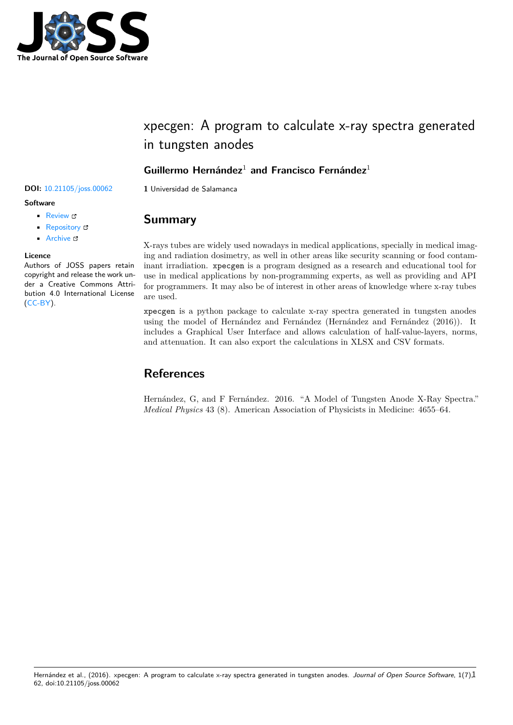

# xpecgen: A program to calculate x-ray spectra generated in tungsten anodes

### **Guillermo Hernández**<sup>1</sup> **and Francisco Fernández**<sup>1</sup>

### **Software**

- Review &
- [Repository](https://doi.org/10.21105/joss.00062) &
- Archive

#### **Licence**

Autho[rs of JOSS](https://github.com/Dih5/xpecgen) papers retain copyright and release the work under a [Creativ](https://dx.doi.org/10.5281/zenodo.165764)e Commons Attribution 4.0 International License (CC-BY).

### **DOI:** 10.21105/joss.00062 **1** Universidad de Salamanca

## **Summary**

X-rays tubes are widely used nowadays in medical applications, specially in medical imaging and radiation dosimetry, as well in other areas like security scanning or food contaminant irradiation. xpecgen is a program designed as a research and educational tool for use in medical applications by non-programming experts, as well as providing and API for programmers. It may also be of interest in other areas of knowledge where x-ray tubes are used.

xpecgen is a python package to calculate x-ray spectra generated in tungsten anodes using the model of Hernández and Fernández (Hernández and Fernández (2016)). It includes a Graphical User Interface and allows calculation of half-value-layers, norms, and attenuation. It can also export the calculations in XLSX and CSV formats.

# **References**

Hernández, G, and F Fernández. 2016. "A Model of Tungsten Anode X-Ray Spectra." *Medical Physics* 43 (8). American Association of Physicists in Medicine: 4655–64.